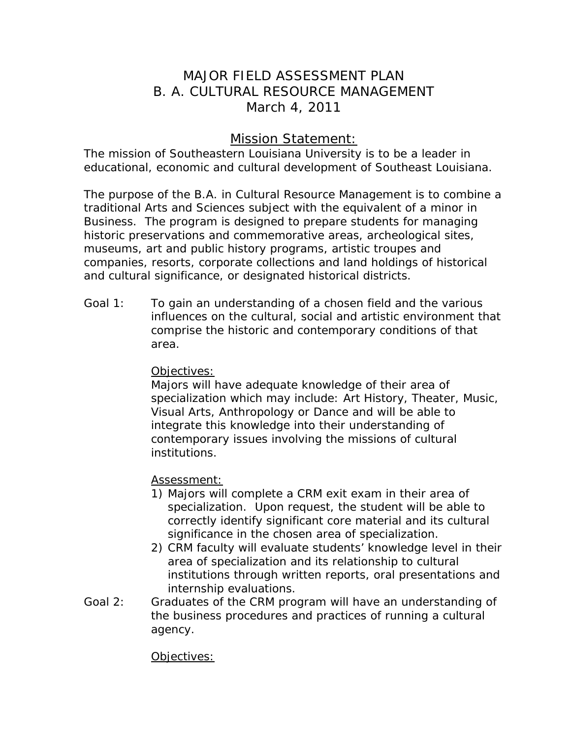# MAJOR FIELD ASSESSMENT PLAN B. A. CULTURAL RESOURCE MANAGEMENT March 4, 2011

## Mission Statement:

The mission of Southeastern Louisiana University is to be a leader in educational, economic and cultural development of Southeast Louisiana.

The purpose of the B.A. in Cultural Resource Management is to combine a traditional Arts and Sciences subject with the equivalent of a minor in Business. The program is designed to prepare students for managing historic preservations and commemorative areas, archeological sites, museums, art and public history programs, artistic troupes and companies, resorts, corporate collections and land holdings of historical and cultural significance, or designated historical districts.

Goal 1: To gain an understanding of a chosen field and the various influences on the cultural, social and artistic environment that comprise the historic and contemporary conditions of that area.

## Objectives:

Majors will have adequate knowledge of their area of specialization which may include: Art History, Theater, Music, Visual Arts, Anthropology or Dance and will be able to integrate this knowledge into their understanding of contemporary issues involving the missions of cultural institutions.

## Assessment:

- 1) Majors will complete a CRM exit exam in their area of specialization. Upon request, the student will be able to correctly identify significant core material and its cultural significance in the chosen area of specialization.
- 2) CRM faculty will evaluate students' knowledge level in their area of specialization and its relationship to cultural institutions through written reports, oral presentations and internship evaluations.
- Goal 2: Graduates of the CRM program will have an understanding of the business procedures and practices of running a cultural agency.

## Objectives: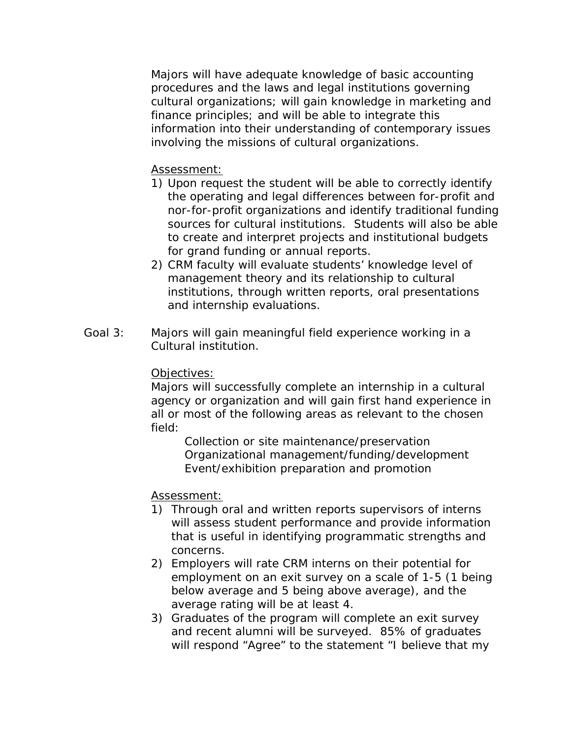Majors will have adequate knowledge of basic accounting procedures and the laws and legal institutions governing cultural organizations; will gain knowledge in marketing and finance principles; and will be able to integrate this information into their understanding of contemporary issues involving the missions of cultural organizations.

## Assessment:

- 1) Upon request the student will be able to correctly identify the operating and legal differences between for-profit and nor-for-profit organizations and identify traditional funding sources for cultural institutions. Students will also be able to create and interpret projects and institutional budgets for grand funding or annual reports.
- 2) CRM faculty will evaluate students' knowledge level of management theory and its relationship to cultural institutions, through written reports, oral presentations and internship evaluations.
- Goal 3: Majors will gain meaningful field experience working in a Cultural institution.

#### Objectives:

Majors will successfully complete an internship in a cultural agency or organization and will gain first hand experience in all or most of the following areas as relevant to the chosen field:

 Collection or site maintenance/preservation Organizational management/funding/development Event/exhibition preparation and promotion

#### Assessment:

- 1) Through oral and written reports supervisors of interns will assess student performance and provide information that is useful in identifying programmatic strengths and concerns.
- 2) Employers will rate CRM interns on their potential for employment on an exit survey on a scale of 1-5 (1 being below average and 5 being above average), and the average rating will be at least 4.
- 3) Graduates of the program will complete an exit survey and recent alumni will be surveyed. 85% of graduates will respond "Agree" to the statement "I believe that my